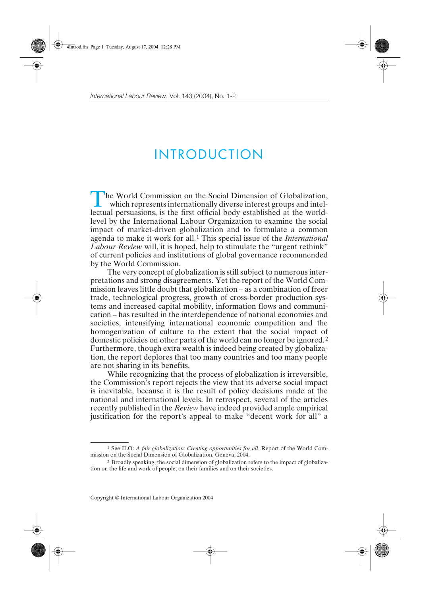## INTRODUCTION

The World Commission on the Social Dimension of Globalization,<br>which represents internationally diverse interest groups and intel-<br>leatural parauscions, is the first official hody astablished at the world lectual persuasions, is the first official body established at the worldlevel by the International Labour Organization to examine the social impact of market-driven globalization and to formulate a common agenda to make it work for all.1 This special issue of the *International Labour Review* will, it is hoped, help to stimulate the "urgent rethink" of current policies and institutions of global governance recommended by the World Commission.

The very concept of globalization is still subject to numerous interpretations and strong disagreements. Yet the report of the World Commission leaves little doubt that globalization – as a combination of freer trade, technological progress, growth of cross-border production systems and increased capital mobility, information flows and communication – has resulted in the interdependence of national economies and societies, intensifying international economic competition and the homogenization of culture to the extent that the social impact of domestic policies on other parts of the world can no longer be ignored. <sup>2</sup> Furthermore, though extra wealth is indeed being created by globalization, the report deplores that too many countries and too many people are not sharing in its benefits.

While recognizing that the process of globalization is irreversible, the Commission's report rejects the view that its adverse social impact is inevitable, because it is the result of policy decisions made at the national and international levels. In retrospect, several of the articles recently published in the *Review* have indeed provided ample empirical justification for the report's appeal to make "decent work for all" a

<sup>1</sup> See ILO: *A fair globalization: Creating opportunities for all*, Report of the World Commission on the Social Dimension of Globalization, Geneva, 2004.

<sup>2</sup> Broadly speaking, the social dimension of globalization refers to the impact of globalization on the life and work of people, on their families and on their societies.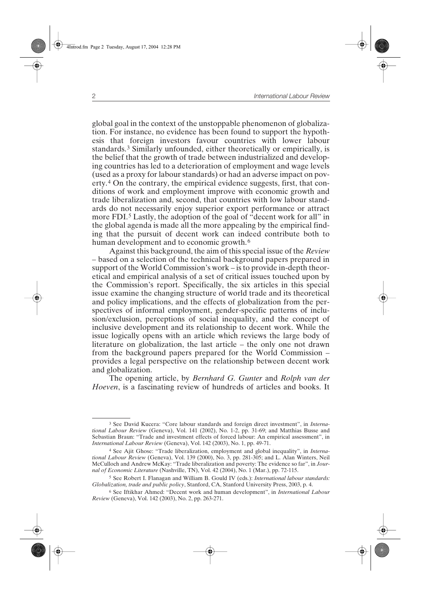global goal in the context of the unstoppable phenomenon of globalization. For instance, no evidence has been found to support the hypothesis that foreign investors favour countries with lower labour standards.3 Similarly unfounded, either theoretically or empirically, is the belief that the growth of trade between industrialized and developing countries has led to a deterioration of employment and wage levels (used as a proxy for labour standards) or had an adverse impact on poverty.4 On the contrary, the empirical evidence suggests, first, that conditions of work and employment improve with economic growth and trade liberalization and, second, that countries with low labour standards do not necessarily enjoy superior export performance or attract more FDI.5 Lastly, the adoption of the goal of "decent work for all" in the global agenda is made all the more appealing by the empirical finding that the pursuit of decent work can indeed contribute both to human development and to economic growth.<sup>6</sup>

Against this background, the aim of this special issue of the *Review* – based on a selection of the technical background papers prepared in support of the World Commission's work – is to provide in-depth theoretical and empirical analysis of a set of critical issues touched upon by the Commission's report. Specifically, the six articles in this special issue examine the changing structure of world trade and its theoretical and policy implications, and the effects of globalization from the perspectives of informal employment, gender-specific patterns of inclusion/exclusion, perceptions of social inequality, and the concept of inclusive development and its relationship to decent work. While the issue logically opens with an article which reviews the large body of literature on globalization, the last article – the only one not drawn from the background papers prepared for the World Commission – provides a legal perspective on the relationship between decent work and globalization.

The opening article, by *Bernhard G. Gunter* and *Rolph van der Hoeven*, is a fascinating review of hundreds of articles and books. It

<sup>3</sup> See David Kucera: "Core labour standards and foreign direct investment", in *International Labour Review* (Geneva), Vol. 141 (2002), No. 1-2, pp. 31-69; and Matthias Busse and Sebastian Braun: "Trade and investment effects of forced labour: An empirical assessment", in *International Labour Review* (Geneva), Vol. 142 (2003), No. 1, pp. 49-71.

<sup>4</sup> See Ajit Ghose: "Trade liberalization, employment and global inequality", in *International Labour Review* (Geneva), Vol. 139 (2000), No. 3, pp. 281-305; and L. Alan Winters, Neil McCulloch and Andrew McKay: "Trade liberalization and poverty: The evidence so far", in *Journal of Economic Literature* (Nashville, TN), Vol. 42 (2004), No. 1 (Mar.), pp. 72-115.

<sup>5</sup> See Robert I. Flanagan and William B. Gould IV (eds.): *International labour standards: Globalization, trade and public policy*, Stanford, CA, Stanford University Press, 2003, p. 4.

<sup>6</sup> See Iftikhar Ahmed: "Decent work and human development", in *International Labour Review* (Geneva), Vol. 142 (2003), No. 2, pp. 263-271.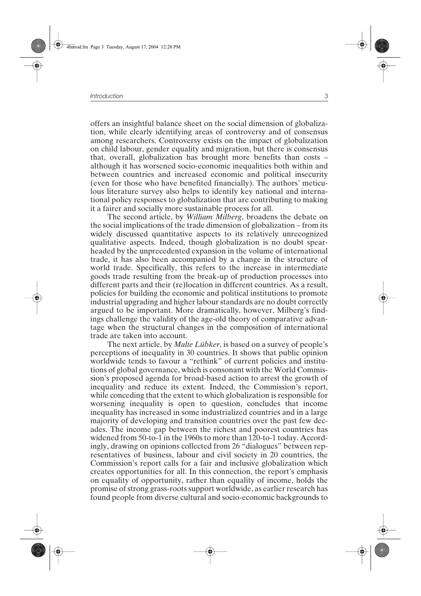offers an insightful balance sheet on the social dimension of globalization, while clearly identifying areas of controversy and of consensus among researchers. Controversy exists on the impact of globalization on child labour, gender equality and migration, but there is consensus that, overall, globalization has brought more benefits than costs – although it has worsened socio-economic inequalities both within and between countries and increased economic and political insecurity (even for those who have benefited financially). The authors' meticulous literature survey also helps to identify key national and international policy responses to globalization that are contributing to making it a fairer and socially more sustainable process for all.

The second article, by *William Milberg*, broadens the debate on the social implications of the trade dimension of globalization – from its widely discussed quantitative aspects to its relatively unrecognized qualitative aspects. Indeed, though globalization is no doubt spearheaded by the unprecedented expansion in the volume of international trade, it has also been accompanied by a change in the structure of world trade. Specifically, this refers to the increase in intermediate goods trade resulting from the break-up of production processes into different parts and their (re)location in different countries. As a result, policies for building the economic and political institutions to promote industrial upgrading and higher labour standards are no doubt correctly argued to be important. More dramatically, however, Milberg's findings challenge the validity of the age-old theory of comparative advantage when the structural changes in the composition of international trade are taken into account.

The next article, by *Malte Lübker*, is based on a survey of people's perceptions of inequality in 30 countries. It shows that public opinion worldwide tends to favour a "rethink" of current policies and institutions of global governance, which is consonant with the World Commission's proposed agenda for broad-based action to arrest the growth of inequality and reduce its extent. Indeed, the Commission's report, while conceding that the extent to which globalization is responsible for worsening inequality is open to question, concludes that income inequality has increased in some industrialized countries and in a large majority of developing and transition countries over the past few decades. The income gap between the richest and poorest countries has widened from 50-to-1 in the 1960s to more than 120-to-1 today. Accordingly, drawing on opinions collected from 26 "dialogues" between representatives of business, labour and civil society in 20 countries, the Commission's report calls for a fair and inclusive globalization which creates opportunities for all. In this connection, the report's emphasis on equality of opportunity, rather than equality of income, holds the promise of strong grass-roots support worldwide, as earlier research has found people from diverse cultural and socio-economic backgrounds to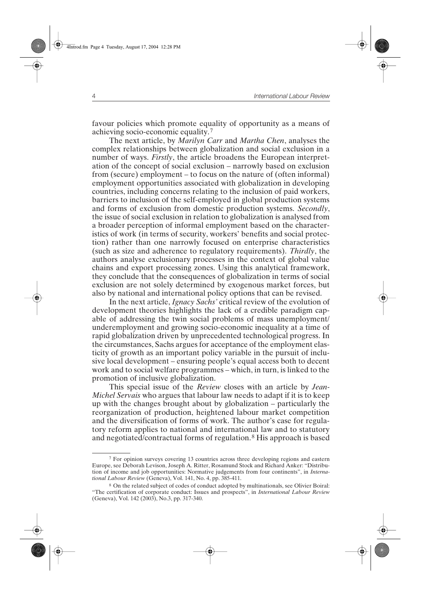favour policies which promote equality of opportunity as a means of achieving socio-economic equality.7

The next article, by *Marilyn Carr* and *Martha Chen*, analyses the complex relationships between globalization and social exclusion in a number of ways. *Firstly*, the article broadens the European interpretation of the concept of social exclusion – narrowly based on exclusion from (secure) employment – to focus on the nature of (often informal) employment opportunities associated with globalization in developing countries, including concerns relating to the inclusion of paid workers, barriers to inclusion of the self-employed in global production systems and forms of exclusion from domestic production systems. *Secondly*, the issue of social exclusion in relation to globalization is analysed from a broader perception of informal employment based on the characteristics of work (in terms of security, workers' benefits and social protection) rather than one narrowly focused on enterprise characteristics (such as size and adherence to regulatory requirements). *Thirdly*, the authors analyse exclusionary processes in the context of global value chains and export processing zones. Using this analytical framework, they conclude that the consequences of globalization in terms of social exclusion are not solely determined by exogenous market forces, but also by national and international policy options that can be revised.

In the next article, *Ignacy Sachs'* critical review of the evolution of development theories highlights the lack of a credible paradigm capable of addressing the twin social problems of mass unemployment/ underemployment and growing socio-economic inequality at a time of rapid globalization driven by unprecedented technological progress. In the circumstances, Sachs argues for acceptance of the employment elasticity of growth as an important policy variable in the pursuit of inclusive local development – ensuring people's equal access both to decent work and to social welfare programmes – which, in turn, is linked to the promotion of inclusive globalization.

This special issue of the *Review* closes with an article by *Jean-Michel Servais* who argues that labour law needs to adapt if it is to keep up with the changes brought about by globalization – particularly the reorganization of production, heightened labour market competition and the diversification of forms of work. The author's case for regulatory reform applies to national and international law and to statutory and negotiated/contractual forms of regulation.8 His approach is based

<sup>7</sup> For opinion surveys covering 13 countries across three developing regions and eastern Europe, see Deborah Levison, Joseph A. Ritter, Rosamund Stock and Richard Anker: "Distribution of income and job opportunities: Normative judgements from four continents", in *International Labour Review* (Geneva), Vol. 141, No. 4, pp. 385-411.

<sup>8</sup> On the related subject of codes of conduct adopted by multinationals, see Olivier Boiral: "The certification of corporate conduct: Issues and prospects", in *International Labour Review* (Geneva), Vol. 142 (2003), No.3, pp. 317-340.